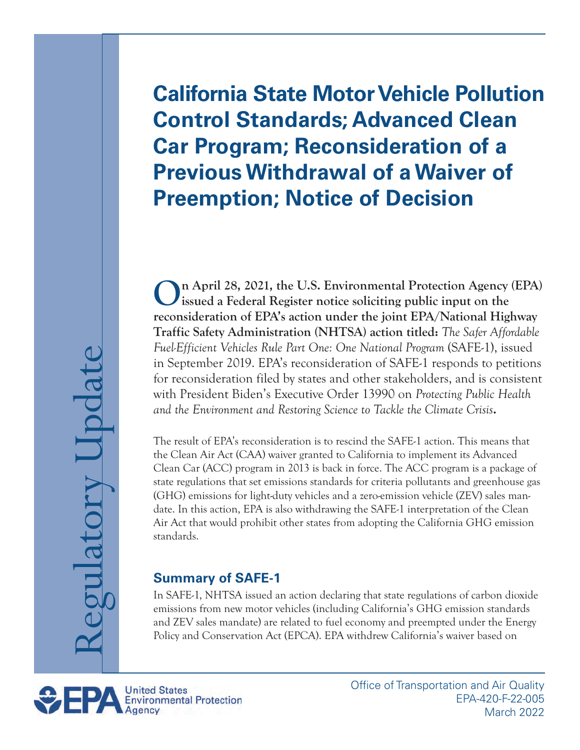# **California State Motor Vehicle Pollution Control Standards; Advanced Clean Car Program; Reconsideration of a Previous Withdrawal of a Waiver of Preemption; Notice of Decision**

**On April 28, 2021, the U.S. Environmental Protection Agency (EPA) issued a Federal Register notice soliciting public input on the reconsideration of EPA's action under the joint EPA/National Highway Traffic Safety Administration (NHTSA) action titled:** *The Safer Affordable Fuel-Efficient Vehicles Rule Part One: One National Program* (SAFE-1), issued in September 2019. EPA's reconsideration of SAFE-1 responds to petitions for reconsideration filed by states and other stakeholders, and is consistent with President Biden's Executive Order 13990 on *Protecting Public Health and the Environment and Restoring Science to Tackle the Climate Crisis***.** 

The result of EPA's reconsideration is to rescind the SAFE-1 action. This means that the Clean Air Act (CAA) waiver granted to California to implement its Advanced Clean Car (ACC) program in 2013 is back in force. The ACC program is a package of state regulations that set emissions standards for criteria pollutants and greenhouse gas (GHG) emissions for light-duty vehicles and a zero-emission vehicle (ZEV) sales mandate. In this action, EPA is also withdrawing the SAFE-1 interpretation of the Clean Air Act that would prohibit other states from adopting the California GHG emission standards.

## **Summary of SAFE-1**

In SAFE-1, NHTSA issued an action declaring that state regulations of carbon dioxide emissions from new motor vehicles (including California's GHG emission standards and ZEV sales mandate) are related to fuel economy and preempted under the Energy Policy and Conservation Act (EPCA). EPA withdrew California's waiver based on

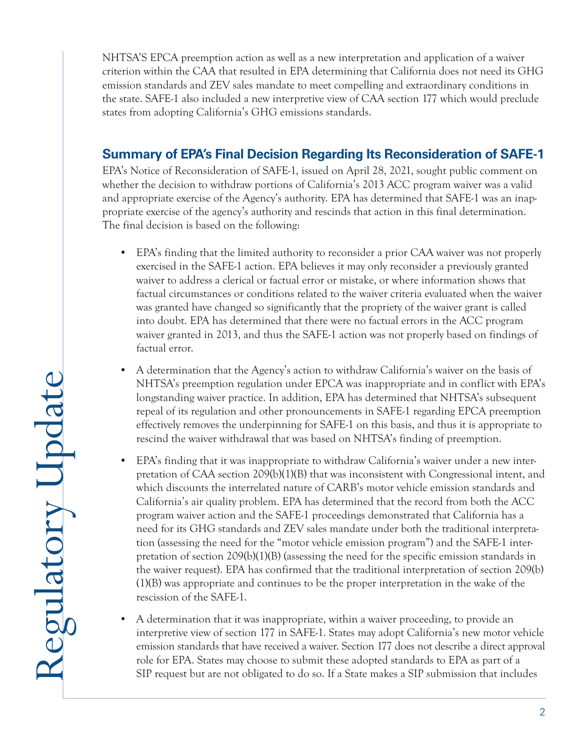NHTSA'S EPCA preemption action as well as a new interpretation and application of a waiver criterion within the CAA that resulted in EPA determining that California does not need its GHG emission standards and ZEV sales mandate to meet compelling and extraordinary conditions in the state. SAFE-1 also included a new interpretive view of CAA section 177 which would preclude states from adopting California's GHG emissions standards.

## **Summary of EPA's Final Decision Regarding Its Reconsideration of SAFE-1**

EPA's Notice of Reconsideration of SAFE-1, issued on April 28, 2021, sought public comment on whether the decision to withdraw portions of California's 2013 ACC program waiver was a valid and appropriate exercise of the Agency's authority. EPA has determined that SAFE-1 was an inap propriate exercise of the agency's authority and rescinds that action in this final determination. The final decision is based on the following:

- EPA's finding that the limited authority to reconsider a prior CAA waiver was not properly exercised in the SAFE-1 action. EPA believes it may only reconsider a previously granted waiver to address a clerical or factual error or mistake, or where information shows that factual circumstances or conditions related to the waiver criteria evaluated when the waiver was granted have changed so significantly that the propriety of the waiver grant is called into doubt. EPA has determined that there were no factual errors in the ACC program waiver granted in 2013, and thus the SAFE-1 action was not properly based on findings of factual error.
- A determination that the Agency's action to withdraw California's waiver on the basis of NHTSA's preemption regulation under EPCA was inappropriate and in conflict with EPA's longstanding waiver practice. In addition, EPA has determined that NHTSA's subsequent repeal of its regulation and other pronouncements in SAFE-1 regarding EPCA preemption effectively removes the underpinning for SAFE-1 on this basis, and thus it is appropriate to rescind the waiver withdrawal that was based on NHTSA's finding of preemption.
- EPA's finding that it was inappropriate to withdraw California's waiver under a new interpretation of CAA section 209(b)(1)(B) that was inconsistent with Congressional intent, and which discounts the interrelated nature of CARB's motor vehicle emission standards and California's air quality problem. EPA has determined that the record from both the ACC program waiver action and the SAFE-1 proceedings demonstrated that California has a need for its GHG standards and ZEV sales mandate under both the traditional interpreta tion (assessing the need for the "motor vehicle emission program") and the SAFE-1 interpretation of section 209(b)(1)(B) (assessing the need for the specific emission standards in the waiver request). EPA has confirmed that the traditional interpretation of section 209(b) (1)(B) was appropriate and continues to be the proper interpretation in the wake of the rescission of the SAFE-1.
- A determination that it was inappropriate, within a waiver proceeding, to provide an interpretive view of section 177 in SAFE-1. States may adopt California's new motor vehicle emission standards that have received a waiver. Section 177 does not describe a direct approval role for EPA. States may choose to submit these adopted standards to EPA as part of a SIP request but are not obligated to do so. If a State makes a SIP submission that includes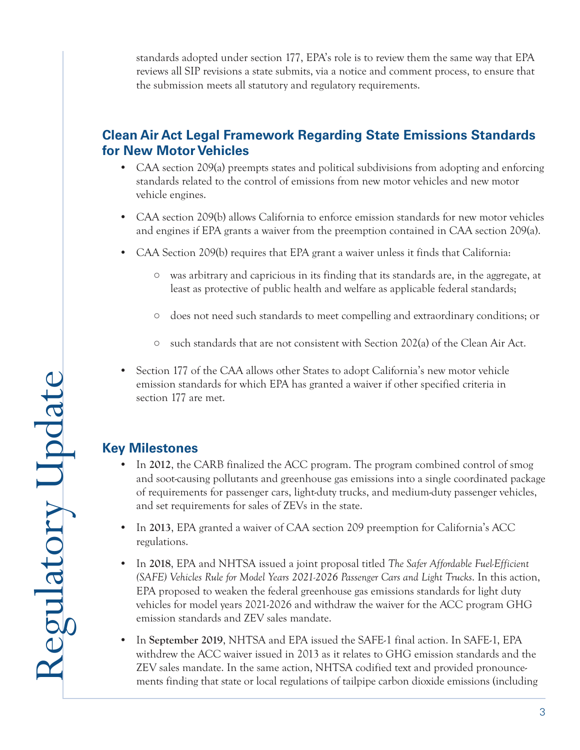standards adopted under section 177, EPA's role is to review them the same way that EPA reviews all SIP revisions a state submits, via a notice and comment process, to ensure that the submission meets all statutory and regulatory requirements.

### **Clean Air Act Legal Framework Regarding State Emissions Standards for New Motor Vehicles**

- CAA section 209(a) preempts states and political subdivisions from adopting and enforcing standards related to the control of emissions from new motor vehicles and new motor vehicle engines.
- CAA section 209(b) allows California to enforce emission standards for new motor vehicles and engines if EPA grants a waiver from the preemption contained in CAA section 209(a).
- CAA Section 209(b) requires that EPA grant a waiver unless it finds that California:
	- was arbitrary and capricious in its finding that its standards are, in the aggregate, at least as protective of public health and welfare as applicable federal standards;
	- does not need such standards to meet compelling and extraordinary conditions; or
	- such standards that are not consistent with Section 202(a) of the Clean Air Act.
- Section 177 of the CAA allows other States to adopt California's new motor vehicle emission standards for which EPA has granted a waiver if other specified criteria in section 177 are met.

#### **Key Milestones**

- In **2012**, the CARB finalized the ACC program. The program combined control of smog and soot-causing pollutants and greenhouse gas emissions into a single coordinated package of requirements for passenger cars, light-duty trucks, and medium-duty passenger vehicles, and set requirements for sales of ZEVs in the state.
- In **2013**, EPA granted a waiver of CAA section 209 preemption for California's ACC regulations.
- In **2018**, EPA and NHTSA issued a joint proposal titled *The Safer Affordable Fuel-Efficient (SAFE) Vehicles Rule for Model Years 2021-2026 Passenger Cars and Light Trucks*. In this action, EPA proposed to weaken the federal greenhouse gas emissions standards for light duty vehicles for model years 2021-2026 and withdraw the waiver for the ACC program GHG emission standards and ZEV sales mandate.
- In **September 2019**, NHTSA and EPA issued the SAFE-1 final action. In SAFE-1, EPA withdrew the ACC waiver issued in 2013 as it relates to GHG emission standards and the ZEV sales mandate. In the same action, NHTSA codified text and provided pronounce ments finding that state or local regulations of tailpipe carbon dioxide emissions (including